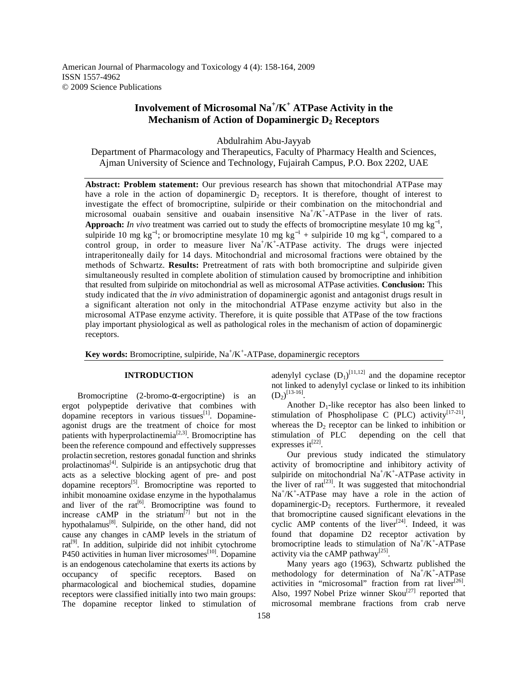American Journal of Pharmacology and Toxicology 4 (4): 158-164, 2009 ISSN 1557-4962 © 2009 Science Publications

# **Involvement of Microsomal Na<sup>+</sup> /K<sup>+</sup> ATPase Activity in the Mechanism of Action of Dopaminergic D2 Receptors**

Abdulrahim Abu-Jayyab

Department of Pharmacology and Therapeutics, Faculty of Pharmacy Health and Sciences, Ajman University of Science and Technology, Fujairah Campus, P.O. Box 2202, UAE

**Abstract: Problem statement:** Our previous research has shown that mitochondrial ATPase may have a role in the action of dopaminergic  $D_2$  receptors. It is therefore, thought of interest to investigate the effect of bromocriptine, sulpiride or their combination on the mitochondrial and microsomal ouabain sensitive and ouabain insensitive  $Na^{+}/K^{+}$ -ATPase in the liver of rats. **Approach:** *In vivo* treatment was carried out to study the effects of bromocriptine mesylate 10 mg kg<sup>-1</sup>, sulpiride 10 mg kg<sup>-1</sup>; or bromocriptine mesylate 10 mg kg<sup>-1</sup> + sulpiride 10 mg kg<sup>-1</sup>, compared to a control group, in order to measure liver  $Na^{+}/K^{+}$ -ATPase activity. The drugs were injected intraperitoneally daily for 14 days. Mitochondrial and microsomal fractions were obtained by the methods of Schwartz. **Results:** Pretreatment of rats with both bromocriptine and sulpiride given simultaneously resulted in complete abolition of stimulation caused by bromocriptine and inhibition that resulted from sulpiride on mitochondrial as well as microsomal ATPase activities. **Conclusion:** This study indicated that the *in vivo* administration of dopaminergic agonist and antagonist drugs result in a significant alteration not only in the mitochondrial ATPase enzyme activity but also in the microsomal ATPase enzyme activity. Therefore, it is quite possible that ATPase of the tow fractions play important physiological as well as pathological roles in the mechanism of action of dopaminergic receptors.

Key words: Bromocriptine, sulpiride, Na<sup>+</sup>/K<sup>+</sup>-ATPase, dopaminergic receptors

## **INTRODUCTION**

Bromocriptine  $(2\textrm{-bromo-}\alpha\textrm{-ergecriptive})$  is an ergot polypeptide derivative that combines with dopamine receptors in various tissues<sup>[1]</sup>. Dopamineagonist drugs are the treatment of choice for most patients with hyperprolactinemia<sup>[2,3]</sup>. Bromocriptine has been the reference compound and effectively suppresses prolactin secretion, restores gonadal function and shrinks prolactinomas<sup>[4]</sup>. Sulpiride is an antipsychotic drug that acts as a selective blocking agent of pre- and post dopamine receptors $[5]$ . Bromocriptine was reported to inhibit monoamine oxidase enzyme in the hypothalamus and liver of the rat<sup>[6]</sup>. Bromocriptine was found to increase cAMP in the striatum $\begin{bmatrix} 77 & 1 & 1 & 1 & 1 \\ 1 & 1 & 1 & 1 & 1 \\ 1 & 1 & 1 & 1 & 1 \end{bmatrix}$ hypothalamus<sup>[8]</sup>. Sulpiride, on the other hand, did not cause any changes in cAMP levels in the striatum of  $rat<sup>[9]</sup>$ . In addition, sulpiride did not inhibit cytochrome P450 activities in human liver microsomes<sup>[10]</sup>. Dopamine is an endogenous catecholamine that exerts its actions by occupancy of specific receptors. Based on pharmacological and biochemical studies, dopamine receptors were classified initially into two main groups: The dopamine receptor linked to stimulation of

adenylyl cyclase  $(D_1)^{[11,12]}$  and the dopamine receptor not linked to adenylyl cyclase or linked to its inhibition  $(D_2)^{[13-16]}.$ 

Another  $D_1$ -like receptor has also been linked to stimulation of Phospholipase C (PLC) activity<sup>[17-21]</sup>, whereas the  $D_2$  receptor can be linked to inhibition or stimulation of PLC depending on the cell that expresses it<sup>[22]</sup>.

 Our previous study indicated the stimulatory activity of bromocriptine and inhibitory activity of sulpiride on mitochondrial  $Na^+/K^+$ -ATPase activity in the liver of  $rat^{[23]}$ . It was suggested that mitochondrial Na<sup>+</sup>/K<sup>+</sup>-ATPase may have a role in the action of dopaminergic- $D_2$  receptors. Furthermore, it revealed that bromocriptine caused significant elevations in the cyclic AMP contents of the liver $[24]$ . Indeed, it was found that dopamine D2 receptor activation by bromocriptine leads to stimulation of  $Na^+/K^+$ -ATPase activity via the cAMP pathway<sup>[25]</sup>.

 Many years ago (1963), Schwartz published the methodology for determination of Na<sup>+</sup>/K<sup>+</sup>-ATPase activities in "microsomal" fraction from rat liver $^{[26]}$ . Also, 1997 Nobel Prize winner  $Skou^{[27]}$  reported that microsomal membrane fractions from crab nerve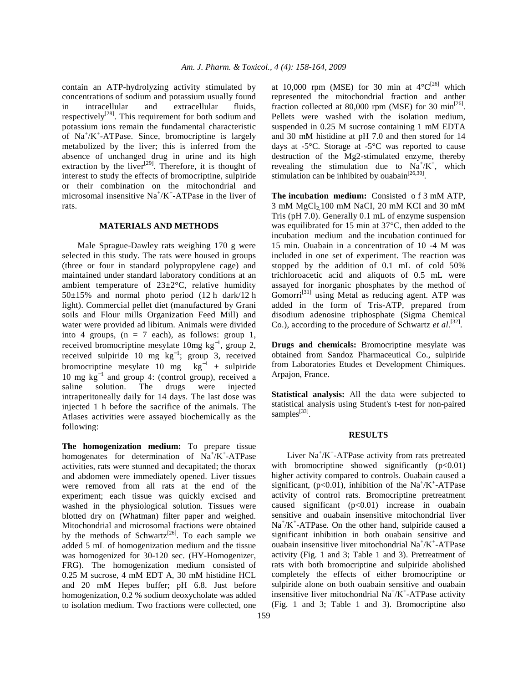contain an ATP-hydrolyzing activity stimulated by concentrations of sodium and potassium usually found in intracellular and extracellular fluids, respectively<sup>[28]</sup>. This requirement for both sodium and potassium ions remain the fundamental characteristic of  $Na^+/K^+$ -ATPase. Since, bromocriptine is largely metabolized by the liver; this is inferred from the absence of unchanged drug in urine and its high extraction by the liver<sup>[29]</sup>. Therefore, it is thought of interest to study the effects of bromocriptine, sulpiride or their combination on the mitochondrial and microsomal insensitive  $Na^+/K^+$ -ATPase in the liver of rats.

## **MATERIALS AND METHODS**

 Male Sprague-Dawley rats weighing 170 g were selected in this study. The rats were housed in groups (three or four in standard polypropylene cage) and maintained under standard laboratory conditions at an ambient temperature of  $23\pm2\degree C$ , relative humidity  $50\pm15\%$  and normal photo period  $(12 \text{ h dark}/12 \text{ h})$ light). Commercial pellet diet (manufactured by Grani soils and Flour mills Organization Feed Mill) and water were provided ad libitum. Animals were divided into 4 groups,  $(n = 7 \text{ each})$ , as follows: group 1, received bromocriptine mesylate  $10mg \text{ kg}^{-1}$ , group 2, received sulpiride 10 mg  $kg^{-1}$ ; group 3, received bromocriptine mesylate 10 mg  $kg^{-1}$  + sulpiride 10 mg kg<sup>−</sup><sup>1</sup> and group 4: (control group), received a saline solution. The drugs were injected intraperitoneally daily for 14 days. The last dose was injected 1 h before the sacrifice of the animals. The Atlases activities were assayed biochemically as the following:

**The homogenization medium:** To prepare tissue homogenates for determination of  $Na^+/K^+$ -ATPase activities, rats were stunned and decapitated; the thorax and abdomen were immediately opened. Liver tissues were removed from all rats at the end of the experiment; each tissue was quickly excised and washed in the physiological solution. Tissues were blotted dry on (Whatman) filter paper and weighed. Mitochondrial and microsomal fractions were obtained by the methods of Schwartz<sup>[26]</sup>. To each sample we added 5 mL of homogenization medium and the tissue was homogenized for 30-120 sec. (HY-Homogenizer, FRG). The homogenization medium consisted of 0.25 M sucrose, 4 mM EDT A, 30 mM histidine HCL and 20 mM Hepes buffer; pH 6.8. Just before homogenization, 0.2 % sodium deoxycholate was added to isolation medium. Two fractions were collected, one

at 10,000 rpm (MSE) for 30 min at  $4^{\circ}C^{[26]}$  which represented the mitochondrial fraction and anther fraction collected at 80,000 rpm (MSE) for 30  $\text{min}^{[26]}$ . Pellets were washed with the isolation medium, suspended in 0.25 M sucrose containing 1 mM EDTA and 30 mM histidine at pH 7.0 and then stored for 14 days at -5°C. Storage at -5°C was reported to cause destruction of the Mg2-stimulated enzyme, thereby revealing the stimulation due to  $Na^{+}/K^{+}$ , which stimulation can be inhibited by ouabain<sup>[26,30]</sup>.

**The incubation medium:** Consisted o f 3 mM ATP,  $3$  mM MgCl<sub>2</sub> 100 mM NaCI, 20 mM KCI and 30 mM Tris (pH 7.0). Generally 0.1 mL of enzyme suspension was equilibrated for 15 min at 37°C, then added to the incubation medium and the incubation continued for 15 min. Ouabain in a concentration of 10 -4 M was included in one set of experiment. The reaction was stopped by the addition of 0.1 mL of cold 50% trichloroacetic acid and aliquots of 0.5 mL were assayed for inorganic phosphates by the method of  $Gomorri<sup>[31]</sup>$  using Metal as reducing agent. ATP was added in the form of Tris-ATP, prepared from disodium adenosine triphosphate (Sigma Chemical Co.), according to the procedure of Schwartz *et al.*<sup>[32]</sup>.

**Drugs and chemicals:** Bromocriptine mesylate was obtained from Sandoz Pharmaceutical Co., sulpiride from Laboratories Etudes et Development Chimiques. Arpajon, France.

**Statistical analysis:** All the data were subjected to statistical analysis using Student's t-test for non-paired samples<sup>[33]</sup>.

#### **RESULTS**

Liver Na<sup>+</sup>/K<sup>+</sup>-ATPase activity from rats pretreated with bromocriptine showed significantly  $(p<0.01)$ higher activity compared to controls. Ouabain caused a significant,  $(p<0.01)$ , inhibition of the Na<sup>+</sup>/K<sup>+</sup>-ATPase activity of control rats. Bromocriptine pretreatment caused significant  $(p<0.01)$  increase in ouabain sensitive and ouabain insensitive mitochondrial liver Na<sup>+</sup>/K<sup>+</sup>-ATPase. On the other hand, sulpiride caused a significant inhibition in both ouabain sensitive and ouabain insensitive liver mitochondrial Na<sup>+</sup>/K<sup>+</sup>-ATPase activity (Fig. 1 and 3; Table 1 and 3). Pretreatment of rats with both bromocriptine and sulpiride abolished completely the effects of either bromocriptine or sulpiride alone on both ouabain sensitive and ouabain insensitive liver mitochondrial  $Na^+/K^+$ -ATPase activity (Fig. 1 and 3; Table 1 and 3). Bromocriptine also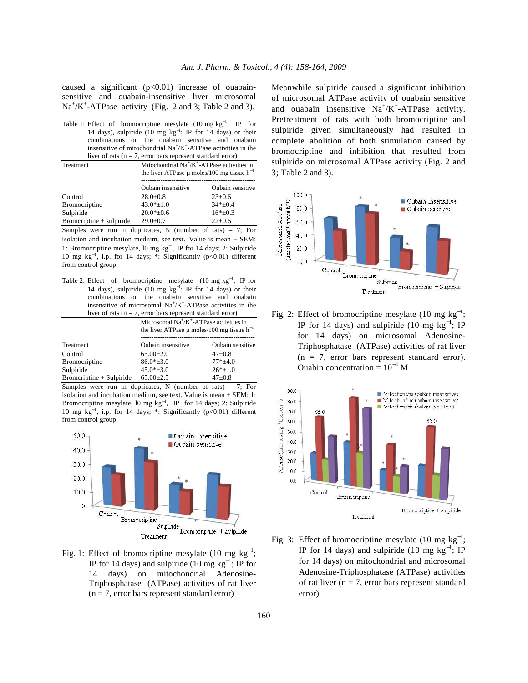caused a significant  $(p<0.01)$  increase of ouabainsensitive and ouabain-insensitive liver microsomal  $Na^+/K^+$ -ATPase activity (Fig. 2 and 3; Table 2 and 3).

Table 1: Effect of bromocriptine mesylate  $(10 \text{ mg kg}^{-1})$ ; IP for 14 days), sulpiride (10 mg kg<sup>−</sup><sup>1</sup> ; IP for 14 days) or their combinations on the ouabain sensitive and ouabain insensitive of mitochondrial Na<sup>+</sup>/K<sup>+</sup>-ATPase activities in the liver of rats ( $n = 7$ , error bars represent standard error)

Treatment Mitochondrial Na<sup>+</sup>/K<sup>+</sup>-ATPase activities in the liver ATPase μ moles/100 mg tissue h<sup>−1</sup> ----------------------------------------------------- Oubain insensitive Oubain sensitive  $\frac{28.0 \pm 0.8}{\text{Bromocriptine}}$   $\frac{28.0 \pm 0.8}{43.0 \pm 1.0}$   $\frac{23 \pm 0.6}{34 \pm 0.4}$ Bromocriptine  $43.0* \pm 1.0$   $34* \pm 0.4$ <br>Sulpiride  $20.0* + 0.6$   $16* + 0.3$  $20.0^{*+0.6}$ Bromcriptine + sulpiride  $29.0 \pm 0.7$  22 $\pm 0.6$ 

Samples were run in duplicates, N (number of rats)  $= 7$ ; For isolation and incubation medium, see text. Value is mean  $\pm$  SEM; 1: Bromocriptine mesylate, l0 mg kg<sup>−</sup><sup>1</sup> , IP for 14 days; 2: Sulpiride 10 mg kg<sup>−</sup><sup>1</sup> , i.p. for 14 days; \*: Significantly (p<0.01) different from control group

Table 2: Effect of bromocriptine mesylate  $(10 \text{ mg kg}^{-1})$ ; IP for 14 days), sulpiride (10 mg  $kg^{-1}$ ; IP for 14 days) or their combinations on the ouabain sensitive and ouabain insensitive of microsomal Na<sup>+</sup>/K<sup>+</sup>-ATPase activities in the liver of rats ( $n = 7$ , error bars represent standard error)

|                            | Microsomal $Na^+/K^+$ -ATPase activities in<br>the liver ATPase $\mu$ moles/100 mg tissue h <sup>-1</sup> |                  |  |
|----------------------------|-----------------------------------------------------------------------------------------------------------|------------------|--|
| Treatment                  | Oubain insensitive                                                                                        | Oubain sensitive |  |
| Control                    | $65.00+2.0$                                                                                               | $47+0.8$         |  |
| <b>Bromocriptine</b>       | $86.0*+3.0$                                                                                               | $77*+4.0$        |  |
| Sulpiride                  | $45.0*+3.0$                                                                                               | $26*_{\pm}1.0$   |  |
| $Bromcriptine + Sulpiride$ | $65.00 \pm 2.5$                                                                                           | $47 \pm 0.8$     |  |

Samples were run in duplicates, N (number of rats)  $= 7$ ; For isolation and incubation medium, see text. Value is mean  $\pm$  SEM; 1: Bromocriptine mesylate,  $10 \text{ mg kg}^{-1}$ , IP for 14 days; 2: Sulpiride 10 mg kg<sup>−</sup><sup>1</sup> , i.p. for 14 days; \*: Significantly (p<0.01) different from control group



Fig. 1: Effect of bromocriptine mesylate (10 mg  $kg^{-1}$ ; IP for 14 days) and sulpiride (10 mg  $kg^{-1}$ ; IP for 14 days) on mitochondrial Adenosine-Triphosphatase (ATPase) activities of rat liver  $(n = 7,$  error bars represent standard error)

Meanwhile sulpiride caused a significant inhibition of microsomal ATPase activity of ouabain sensitive and ouabain insensitive  $Na^+/K^+$ -ATPase activity. Pretreatment of rats with both bromocriptine and sulpiride given simultaneously had resulted in complete abolition of both stimulation caused by bromocriptine and inhibition that resulted from sulpiride on microsomal ATPase activity (Fig. 2 and 3; Table 2 and 3).



Fig. 2: Effect of bromocriptine mesylate (10 mg  $kg^{-1}$ ; IP for 14 days) and sulpiride (10 mg  $kg^{-1}$ ; IP for 14 days) on microsomal Adenosine-Triphosphatase (ATPase) activities of rat liver  $(n = 7,$  error bars represent standard error). Ouabin concentration =  $10^{-4}$  M



Fig. 3: Effect of bromocriptine mesylate (10 mg  $kg^{-1}$ ; IP for 14 days) and sulpiride (10 mg  $kg^{-1}$ ; IP for 14 days) on mitochondrial and microsomal Adenosine-Triphosphatase (ATPase) activities of rat liver ( $n = 7$ , error bars represent standard error)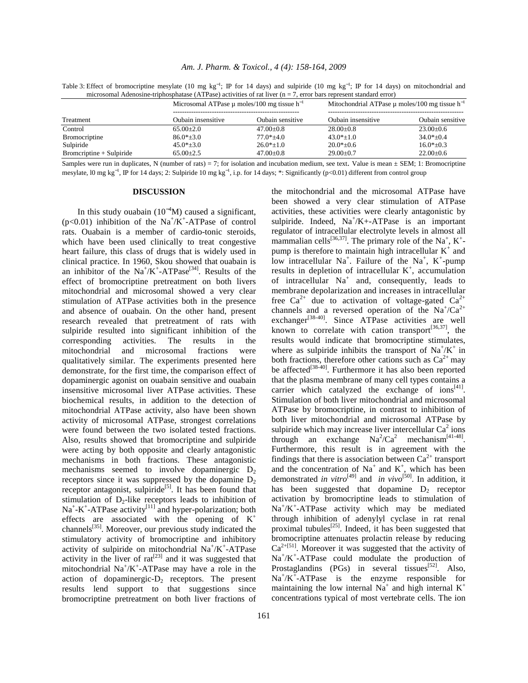Table 3: Effect of bromocriptine mesylate (10 mg kg<sup>-1</sup>; IP for 14 days) and sulpiride (10 mg kg<sup>-1</sup>; IP for 14 days) on mitochondrial and microsomal Adenosine-triphosphatase (ATPase) activities of rat liver (n = 7, error bars represent standard error)

|                          | Microsomal ATPase $\mu$ moles/100 mg tissue h <sup>-1</sup> |                  | Mitochondrial ATPase $\mu$ moles/100 mg tissue h <sup>-1</sup> |                  |
|--------------------------|-------------------------------------------------------------|------------------|----------------------------------------------------------------|------------------|
| Treatment                | Oubain insensitive                                          | Oubain sensitive | Oubain insensitive                                             | Oubain sensitive |
| Control                  | $65.00+2.0$                                                 | $47.00+0.8$      | $28.00 \pm 0.8$                                                | $23.00+0.6$      |
| <b>Bromocriptine</b>     | $86.0*+3.0$                                                 | $77.0*+4.0$      | $43.0* \pm 1.0$                                                | $34.0*+0.4$      |
| Sulpiride                | $45.0* \pm 3.0$                                             | $26.0*+1.0$      | $20.0*_{\pm}0.6$                                               | $16.0*_{\pm}0.3$ |
| Bromcriptine + Sulpiride | $65.00+2.5$                                                 | $47.00 \pm 0.8$  | $29.00 \pm 0.7$                                                | $22.00 \pm 0.6$  |

Samples were run in duplicates, N (number of rats) = 7; for isolation and incubation medium, see text. Value is mean  $\pm$  SEM; 1: Bromocriptine mesylate, l0 mg kg<sup>-1</sup>, IP for 14 days; 2: Sulpiride 10 mg kg<sup>-1</sup>, i.p. for 14 days; \*: Significantly (p<0.01) different from control group

#### **DISCUSSION**

In this study ouabain  $(10^{-4}M)$  caused a significant, (p<0.01) inhibition of the  $Na^+/K^+$ -ATPase of control rats. Ouabain is a member of cardio-tonic steroids, which have been used clinically to treat congestive heart failure, this class of drugs that is widely used in clinical practice. In 1960, Skou showed that ouabain is an inhibitor of the  $Na^+/K^+$ -ATPase<sup>[34]</sup>. Results of the effect of bromocriptine pretreatment on both livers mitochondrial and microsomal showed a very clear stimulation of ATPase activities both in the presence and absence of ouabain. On the other hand, present research revealed that pretreatment of rats with sulpiride resulted into significant inhibition of the corresponding activities. The results in the mitochondrial and microsomal fractions were qualitatively similar. The experiments presented here demonstrate, for the first time, the comparison effect of dopaminergic agonist on ouabain sensitive and ouabain insensitive microsomal liver ATPase activities. These biochemical results, in addition to the detection of mitochondrial ATPase activity, also have been shown activity of microsomal ATPase, strongest correlations were found between the two isolated tested fractions. Also, results showed that bromocriptine and sulpiride were acting by both opposite and clearly antagonistic mechanisms in both fractions. These antagonistic mechanisms seemed to involve dopaminergic  $D_2$ receptors since it was suppressed by the dopamine  $D_2$ receptor antagonist, sulpiride<sup>[5]</sup>. It has been found that stimulation of  $D_2$ -like receptors leads to inhibition of  $Na<sup>+</sup>-K<sup>+</sup>-ATPase activity<sup>[11]</sup>$  and hyper-polarization; both effects are associated with the opening of  $K^+$ channels<sup>[35]</sup>. Moreover, our previous study indicated the stimulatory activity of bromocriptine and inhibitory activity of sulpiride on mitochondrial Na<sup>+</sup>/K<sup>+</sup>-ATPase activity in the liver of  $rat^{[23]}$  and it was suggested that mitochondrial  $Na^+/K^+$ -ATPase may have a role in the action of dopaminergic- $D_2$  receptors. The present results lend support to that suggestions since bromocriptine pretreatment on both liver fractions of

been showed a very clear stimulation of ATPase activities, these activities were clearly antagonistic by sulpiride. Indeed,  $Na^{+}/K + ATPase$  is an important regulator of intracellular electrolyte levels in almost all mammalian cells<sup>[36,37]</sup>. The primary role of the Na<sup>+</sup>, K<sup>+</sup>pump is therefore to maintain high intracellular  $K^+$  and low intracellular  $Na^{+}$ . Failure of the  $Na^{+}$ , K<sup>+</sup>-pump results in depletion of intracellular  $K^+$ , accumulation of intracellular  $Na<sup>+</sup>$  and, consequently, leads to membrane depolarization and increases in intracellular free  $Ca^{2+}$  due to activation of voltage-gated  $Ca^{2+}$ channels and a reversed operation of the  $Na^+/Ca^{2+}$ exchanger<sup>[38-40]</sup>. Since ATPase activities are well known to correlate with cation transport<sup>[36,37]</sup>, the results would indicate that bromocriptine stimulates, where as sulpiride inhibits the transport of  $\text{Na}^{\dagger}/\text{K}^{\dagger}$  in both fractions, therefore other cations such as  $Ca^{2+}$  may be affected<sup>[38-40]</sup>. Furthermore it has also been reported that the plasma membrane of many cell types contains a carrier which catalyzed the exchange of  $ions^{[41]}$ . Stimulation of both liver mitochondrial and microsomal ATPase by bromocriptine, in contrast to inhibition of both liver mitochondrial and microsomal ATPase by sulpiride which may increase liver intercellular  $Ca^2$  ions through an exchange  $\text{Na}^2/\text{Ca}^2$  mechanism<sup>[41-48]</sup>. Furthermore, this result is in agreement with the findings that there is association between  $Ca^{2+}$  transport and the concentration of  $Na^+$  and  $K^+$ , which has been demonstrated *in vitro*[49] and *in vivo*[50]. In addition, it has been suggested that dopamine  $D_2$  receptor activation by bromocriptine leads to stimulation of Na<sup>+</sup>/K<sup>+</sup>-ATPase activity which may be mediated through inhibition of adenylyl cyclase in rat renal proximal tubules<sup>[25]</sup>. Indeed, it has been suggested that bromocriptine attenuates prolactin release by reducing  $Ca^{2+[51]}$ . Moreover it was suggested that the activity of Na<sup>+</sup>/K<sup>+</sup>-ATPase could modulate the production of Prostaglandins (PGs) in several tissues<sup>[52]</sup>. Also,  $Na^+/K^+$ -ATPase is the enzyme responsible for maintaining the low internal Na<sup>+</sup> and high internal  $K^+$ concentrations typical of most vertebrate cells. The ion

the mitochondrial and the microsomal ATPase have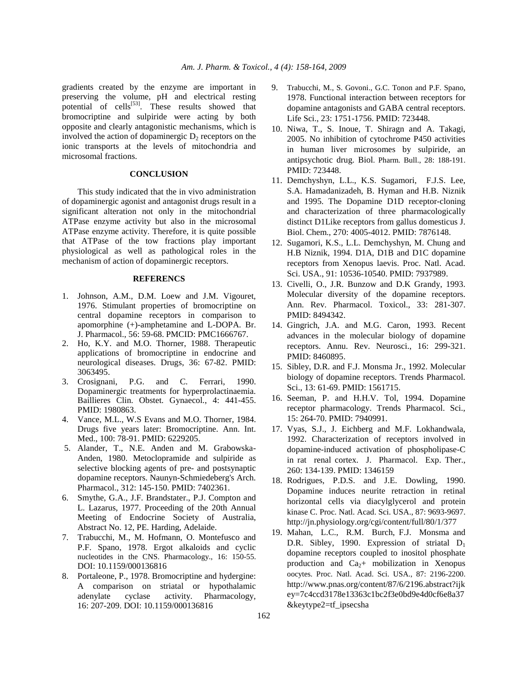gradients created by the enzyme are important in preserving the volume, pH and electrical resting potential of cells $^{[53]}$ . These results showed that bromocriptine and sulpiride were acting by both opposite and clearly antagonistic mechanisms, which is involved the action of dopaminergic  $D_2$  receptors on the ionic transports at the levels of mitochondria and microsomal fractions.

## **CONCLUSION**

 This study indicated that the in vivo administration of dopaminergic agonist and antagonist drugs result in a significant alteration not only in the mitochondrial ATPase enzyme activity but also in the microsomal ATPase enzyme activity. Therefore, it is quite possible that ATPase of the tow fractions play important physiological as well as pathological roles in the mechanism of action of dopaminergic receptors.

#### **REFERENCS**

- 1. Johnson, A.M., D.M. Loew and J.M. Vigouret, 1976. Stimulant properties of bromocriptine on central dopamine receptors in comparison to apomorphine (+)-amphetamine and L-DOPA. Br. J. Pharmacol., 56: 59-68. PMCID: PMC1666767.
- 2. Ho, K.Y. and M.O. Thorner, 1988. Therapeutic applications of bromocriptine in endocrine and neurological diseases. Drugs, 36: 67-82. PMID: 3063495.
- 3. Crosignani, P.G. and C. Ferrari, 1990. Dopaminergic treatments for hyperprolactinaemia. Baillieres Clin. Obstet. Gynaecol., 4: 441-455. PMID: 1980863.
- 4. Vance, M.L., W.S Evans and M.O. Thorner, 1984. Drugs five years later: Bromocriptine. Ann. Int. Med., 100: 78-91. PMID: 6229205.
- 5. Alander, T., N.E. Anden and M. Grabowska-Anden, 1980. Metoclopramide and sulpiride as selective blocking agents of pre- and postsynaptic dopamine receptors. Naunyn-Schmiedeberg's Arch. Pharmacol., 312: 145-150. PMID: 7402361.
- 6. Smythe, G.A., J.F. Brandstater., P.J. Compton and L. Lazarus, 1977. Proceeding of the 20th Annual Meeting of Endocrine Society of Australia, Abstract No. 12, PE. Harding, Adelaide.
- 7. Trabucchi, M., M. Hofmann, O. Montefusco and P.F. Spano, 1978. Ergot alkaloids and cyclic nucleotides in the CNS. Pharmacology., 16: 150-55. DOI: 10.1159/000136816
- 8. Portaleone, P., 1978. Bromocriptine and hydergine: A comparison on striatal or hypothalamic adenylate cyclase activity. Pharmacology, 16: 207-209. DOI: 10.1159/000136816
- 9. Trabucchi, M., S. Govoni., G.C. Tonon and P.F. Spano, 1978. Functional interaction between receptors for dopamine antagonists and GABA central receptors. Life Sci., 23: 1751-1756. PMID: 723448.
- 10. Niwa, T., S. Inoue, T. Shiragn and A. Takagi, 2005. No inhibition of cytochrome P450 activities in human liver microsomes by sulpiride, an antipsychotic drug. Biol. Pharm. Bull., 28: 188-191. PMID: 723448.
- 11. Demchyshyn, L.L., K.S. Sugamori, F.J.S. Lee, S.A. Hamadanizadeh, B. Hyman and H.B. Niznik and 1995. The Dopamine D1D receptor-cloning and characterization of three pharmacologically distinct D1Like receptors from gallus domesticus J. Biol. Chem., 270: 4005-4012. PMID: 7876148.
- 12. Sugamori, K.S., L.L. Demchyshyn, M. Chung and H.B Niznik, 1994. D1A, D1B and D1C dopamine receptors from Xenopus laevis. Proc. Natl. Acad. Sci. USA., 91: 10536-10540. PMID: 7937989.
- 13. Civelli, O., J.R. Bunzow and D.K Grandy, 1993. Molecular diversity of the dopamine receptors. Ann. Rev. Pharmacol. Toxicol., 33: 281-307. PMID: 8494342.
- 14. Gingrich, J.A. and M.G. Caron, 1993. Recent advances in the molecular biology of dopamine receptors. Annu. Rev. Neurosci., 16: 299-321. PMID: 8460895.
- 15. Sibley, D.R. and F.J. Monsma Jr., 1992. Molecular biology of dopamine receptors. Trends Pharmacol. Sci., 13: 61-69. PMID: 1561715.
- 16. Seeman, P. and H.H.V. Tol, 1994. Dopamine receptor pharmacology. Trends Pharmacol. Sci., 15: 264-70. PMID: 7940991.
- 17. Vyas, S.J., J. Eichberg and M.F. Lokhandwala, 1992. Characterization of receptors involved in dopamine-induced activation of phospholipase-C in rat renal cortex. J. Pharmacol. Exp. Ther., 260: 134-139. PMID: 1346159
- 18. Rodrigues, P.D.S. and J.E. Dowling, 1990. Dopamine induces neurite retraction in retinal horizontal cells via diacylglycerol and protein kinase C. Proc. Natl. Acad. Sci. USA., 87: 9693-9697. http://jn.physiology.org/cgi/content/full/80/1/377
- 19. Mahan, L.C., R.M. Burch, F.J. Monsma and D.R. Sibley, 1990. Expression of striatal  $D_1$ dopamine receptors coupled to inositol phosphate production and  $Ca<sub>2</sub> +$  mobilization in Xenopus oocytes. Proc. Natl. Acad. Sci. USA., 87: 2196-2200. http://www.pnas.org/content/87/6/2196.abstract?ijk ey=7c4ccd3178e13363c1bc2f3e0bd9e4d0cf6e8a37 &keytype2=tf\_ipsecsha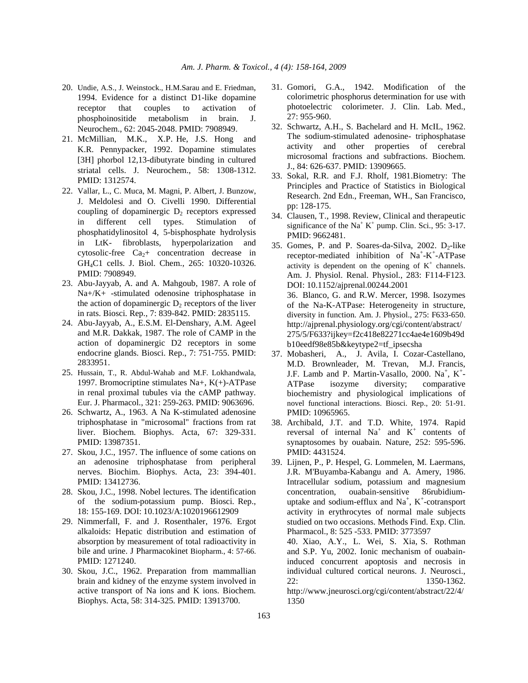- 20. Undie, A.S., J. Weinstock., H.M.Sarau and E. Friedman, 1994. Evidence for a distinct D1-like dopamine receptor that couples to activation of phosphoinositide metabolism in brain. J. Neurochem., 62: 2045-2048. PMID: 7908949.
- 21. McMillian, M.K., X.P. He, J.S. Hong and K.R. Pennypacker, 1992. Dopamine stimulates [3H] phorbol 12,13-dibutyrate binding in cultured striatal cells. J. Neurochem., 58: 1308-1312. PMID: 1312574.
- 22. Vallar, L., C. Muca, M. Magni, P. Albert, J. Bunzow, J. Meldolesi and O. Civelli 1990. Differential coupling of dopaminergic  $D_2$  receptors expressed in different cell types. Stimulation of phosphatidylinositol 4, 5-bisphosphate hydrolysis in LtK- fibroblasts, hyperpolarization and cytosolic-free  $Ca<sub>2</sub>$ + concentration decrease in GH4C1 cells. J. Biol. Chem., 265: 10320-10326. PMID: 7908949.
- 23. Abu-Jayyab, A. and A. Mahgoub, 1987. A role of Na+/K+ -stimulated odenosine triphosphatase in the action of dopaminergic  $D_2$  receptors of the liver in rats. Biosci. Rep., 7: 839-842. PMID: 2835115.
- 24. Abu-Jayyab, A., E.S.M. El-Denshary, A.M. Ageel and M.R. Dakkak, 1987. The role of CAMP in the action of dopaminergic D2 receptors in some endocrine glands. Biosci. Rep., 7: 751-755. PMID: 2833951.
- 25. Hussain, T., R. Abdul-Wahab and M.F. Lokhandwala, 1997. Bromocriptine stimulates Na+, K(+)-ATPase in renal proximal tubules via the cAMP pathway. Eur. J. Pharmacol., 321: 259-263. PMID: 9063696.
- 26. Schwartz, A., 1963. A Na K-stimulated adenosine triphosphatase in "microsomal" fractions from rat liver. Biochem. Biophys. Acta, 67: 329-331. PMID: 13987351.
- 27. Skou, J.C., 1957. The influence of some cations on an adenosine triphosphatase from peripheral nerves. Biochim. Biophys. Acta, 23: 394-401. PMID: 13412736.
- 28. Skou, J.C., 1998. Nobel lectures. The identification of the sodium-potassium pump. Biosci. Rep., 18: 155-169. DOI: 10.1023/A:1020196612909
- 29. Nimmerfall, F. and J. Rosenthaler, 1976. Ergot alkaloids: Hepatic distribution and estimation of absorption by measurement of total radioactivity in bile and urine. J Pharmacokinet Biopharm., 4: 57-66. PMID: 1271240.
- 30. Skou, J.C., 1962. Preparation from mammallian brain and kidney of the enzyme system involved in active transport of Na ions and K ions. Biochem. Biophys. Acta, 58: 314-325. PMID: 13913700.
- 31. Gomori, G.A., 1942. Modification of the colorimetric phosphorus determination for use with photoelectric colorimeter. J. Clin. Lab. Med., 27: 955-960.
- 32. Schwartz, A.H., S. Bachelard and H. McIL, 1962. The sodium-stimulated adenosine- triphosphatase activity and other properties of cerebral microsomal fractions and subfractions. Biochem. J., 84: 626-637. PMID: 13909665.
- 33. Sokal, R.R. and F.J. Rholf, 1981.Biometry: The Principles and Practice of Statistics in Biological Research. 2nd Edn., Freeman, WH., San Francisco, pp: 128-175.
- 34. Clausen, T., 1998. Review, Clinical and therapeutic significance of the  $Na<sup>+</sup> K<sup>+</sup>$  pump. Clin. Sci., 95: 3-17. PMID: 9662481.
- 35. Gomes, P. and P. Soares-da-Silva, 2002.  $D_2$ -like receptor-mediated inhibition of  $Na^+ - K^+$ -ATPase activity is dependent on the opening of  $K^+$  channels. Am. J. Physiol. Renal. Physiol., 283: F114-F123. DOI: 10.1152/ajprenal.00244.2001 36. Blanco, G. and R.W. Mercer, 1998. Isozymes of the Na-K-ATPase: Heterogeneity in structure, diversity in function. Am. J. Physiol., 275: F633-650. http://ajprenal.physiology.org/cgi/content/abstract/ 275/5/F633?ijkey=f2c418e82271cc4ae4e1609b49d b10eedf98e85b&keytype2=tf\_ipsecsha
- 37. Mobasheri, A., J. Avila, I. Cozar-Castellano, M.D. Brownleader, M. Trevan, M.J. Francis, J.F. Lamb and P. Martin-Vasallo, 2000. Na<sup>+</sup>, K<sup>+</sup>-ATPase isozyme diversity; comparative biochemistry and physiological implications of novel functional interactions. Biosci. Rep., 20: 51-91. PMID: 10965965.
- 38. Archibald, J.T. and T.D. White, 1974. Rapid reversal of internal  $Na<sup>+</sup>$  and  $K<sup>+</sup>$  contents of synaptosomes by ouabain. Nature, 252: 595-596. PMID: 4431524.
- 39. Lijnen, P., P. Hespel, G. Lommelen, M. Laermans, J.R. M'Buyamba-Kabangu and A. Amery, 1986. Intracellular sodium, potassium and magnesium concentration, ouabain-sensitive 86rubidiumuptake and sodium-efflux and  $Na^+$ ,  $K^+$ -cotransport activity in erythrocytes of normal male subjects studied on two occasions. Methods Find. Exp. Clin. Pharmacol., 8: 525 -533. PMID: 3773597 40. Xiao, A.Y., L. Wei, S. Xia, S. Rothman and S.P. Yu, 2002. Ionic mechanism of ouabain-

induced concurrent apoptosis and necrosis in individual cultured cortical neurons. J. Neurosci., 22: 1350-1362. http://www.jneurosci.org/cgi/content/abstract/22/4/ 1350